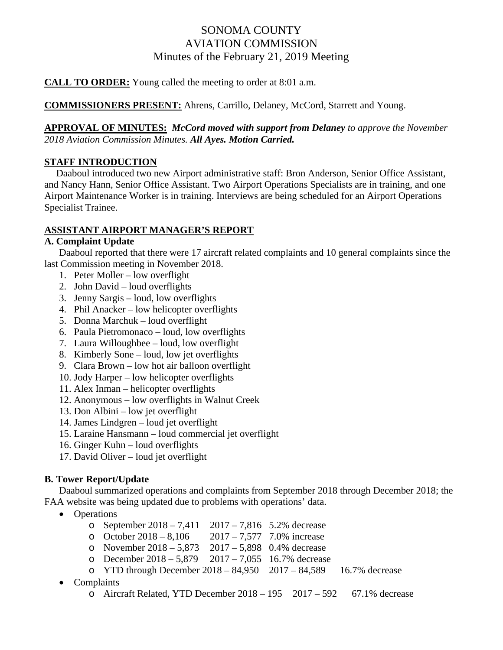# SONOMA COUNTY AVIATION COMMISSION Minutes of the February 21, 2019 Meeting

**CALL TO ORDER:** Young called the meeting to order at 8:01 a.m.

## **COMMISSIONERS PRESENT:** Ahrens, Carrillo, Delaney, McCord, Starrett and Young.

## **APPROVAL OF MINUTES:** *McCord moved with support from Delaney to approve the November 2018 Aviation Commission Minutes. All Ayes. Motion Carried.*

## **STAFF INTRODUCTION**

 Daaboul introduced two new Airport administrative staff: Bron Anderson, Senior Office Assistant, and Nancy Hann, Senior Office Assistant. Two Airport Operations Specialists are in training, and one Airport Maintenance Worker is in training. Interviews are being scheduled for an Airport Operations Specialist Trainee.

## **ASSISTANT AIRPORT MANAGER'S REPORT**

## **A. Complaint Update**

Daaboul reported that there were 17 aircraft related complaints and 10 general complaints since the last Commission meeting in November 2018.

- 1. Peter Moller low overflight
- 2. John David loud overflights
- 3. Jenny Sargis loud, low overflights
- 4. Phil Anacker low helicopter overflights
- 5. Donna Marchuk loud overflight
- 6. Paula Pietromonaco loud, low overflights
- 7. Laura Willoughbee loud, low overflight
- 8. Kimberly Sone loud, low jet overflights
- 9. Clara Brown low hot air balloon overflight
- 10. Jody Harper low helicopter overflights
- 11. Alex Inman helicopter overflights
- 12. Anonymous low overflights in Walnut Creek
- 13. Don Albini low jet overflight
- 14. James Lindgren loud jet overflight
- 15. Laraine Hansmann loud commercial jet overflight
- 16. Ginger Kuhn loud overflights
- 17. David Oliver loud jet overflight

## **B. Tower Report/Update**

 Daaboul summarized operations and complaints from September 2018 through December 2018; the FAA website was being updated due to problems with operations' data.

- Operations
	- o September  $2018 7,411$   $2017 7,816$  5.2% decrease
	- o October  $2018 8,106$  2017 7,577 7.0% increase
	- o November  $2018 5,873$   $2017 5,898$  0.4% decrease
	- o December  $2018 5,879$   $2017 7,055$  16.7% decrease
	- o YTD through December 2018 84,950 2017 84,589 16.7% decrease
- Complaints
	- $\circ$  Aircraft Related, YTD December 2018 195 2017 592 67.1% decrease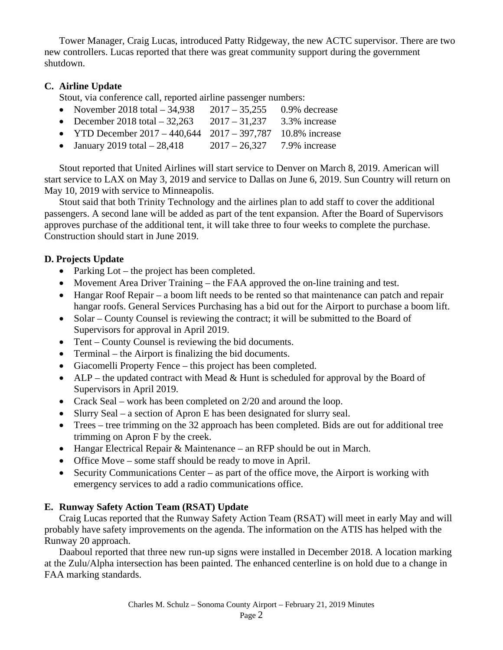Tower Manager, Craig Lucas, introduced Patty Ridgeway, the new ACTC supervisor. There are two new controllers. Lucas reported that there was great community support during the government shutdown.

## **C. Airline Update**

Stout, via conference call, reported airline passenger numbers:

- November 2018 total  $34,938$  2017  $35,255$  0.9% decrease
- December 2018 total  $-32,263$  2017  $-31,237$  3.3% increase
- YTD December  $2017 440,644$   $2017 397,787$  10.8% increase
- January 2019 total  $-28,418$  2017  $-26,327$  7.9% increase

 Stout reported that United Airlines will start service to Denver on March 8, 2019. American will start service to LAX on May 3, 2019 and service to Dallas on June 6, 2019. Sun Country will return on May 10, 2019 with service to Minneapolis.

 Stout said that both Trinity Technology and the airlines plan to add staff to cover the additional passengers. A second lane will be added as part of the tent expansion. After the Board of Supervisors approves purchase of the additional tent, it will take three to four weeks to complete the purchase. Construction should start in June 2019.

## **D. Projects Update**

- Parking Lot the project has been completed.
- Movement Area Driver Training the FAA approved the on-line training and test.
- Hangar Roof Repair a boom lift needs to be rented so that maintenance can patch and repair hangar roofs. General Services Purchasing has a bid out for the Airport to purchase a boom lift.
- Solar County Counsel is reviewing the contract; it will be submitted to the Board of Supervisors for approval in April 2019.
- Tent County Counsel is reviewing the bid documents.
- Terminal the Airport is finalizing the bid documents.
- Giacomelli Property Fence this project has been completed.
- ALP the updated contract with Mead  $&$  Hunt is scheduled for approval by the Board of Supervisors in April 2019.
- Crack Seal work has been completed on 2/20 and around the loop.
- Slurry Seal a section of Apron E has been designated for slurry seal.
- Trees tree trimming on the 32 approach has been completed. Bids are out for additional tree trimming on Apron F by the creek.
- Hangar Electrical Repair & Maintenance an RFP should be out in March.
- Office Move some staff should be ready to move in April.
- Security Communications Center as part of the office move, the Airport is working with emergency services to add a radio communications office.

## **E. Runway Safety Action Team (RSAT) Update**

 Craig Lucas reported that the Runway Safety Action Team (RSAT) will meet in early May and will probably have safety improvements on the agenda. The information on the ATIS has helped with the Runway 20 approach.

 Daaboul reported that three new run-up signs were installed in December 2018. A location marking at the Zulu/Alpha intersection has been painted. The enhanced centerline is on hold due to a change in FAA marking standards.